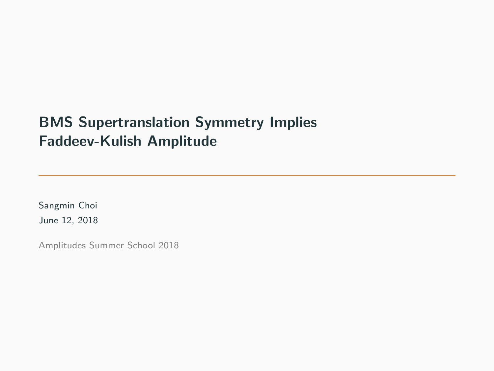## BMS Supertranslation Symmetry Implies Faddeev-Kulish Amplitude

Sangmin Choi June 12, 2018

Amplitudes Summer School 2018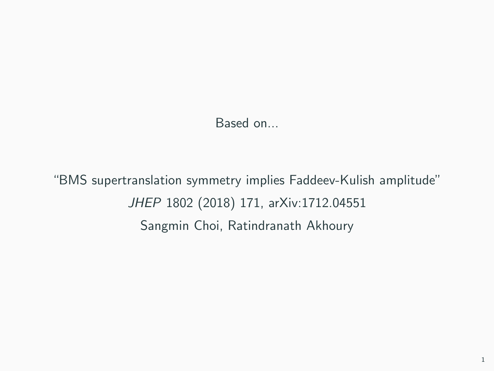Based on...

"BMS supertranslation symmetry implies Faddeev-Kulish amplitude" JHEP 1802 (2018) 171, arXiv:1712.04551 Sangmin Choi, Ratindranath Akhoury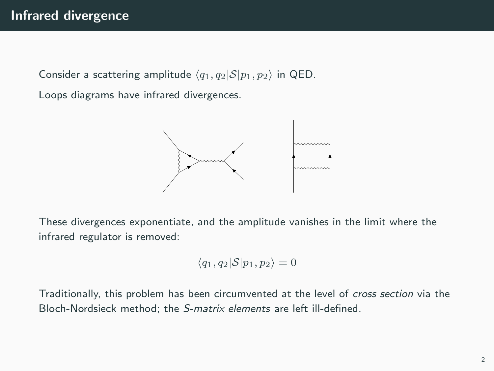Consider a scattering amplitude  $\langle q_1, q_2|S|p_1, p_2 \rangle$  in QED.

Loops diagrams have infrared divergences.



These divergences exponentiate, and the amplitude vanishes in the limit where the infrared regulator is removed:

$$
\langle q_1, q_2 | \mathcal{S} | p_1, p_2 \rangle = 0
$$

Traditionally, this problem has been circumvented at the level of cross section via the Bloch-Nordsieck method; the S-matrix elements are left ill-defined.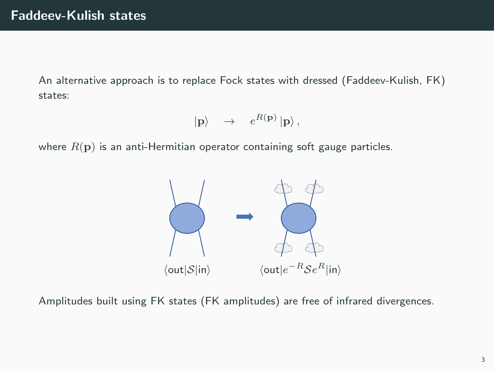An alternative approach is to replace Fock states with dressed (Faddeev-Kulish, FK) states:

$$
|\mathbf{p}\rangle \quad \rightarrow \quad e^{R(\mathbf{p})} \, |\mathbf{p}\rangle \, ,
$$

where  $R(\mathbf{p})$  is an anti-Hermitian operator containing soft gauge particles.



Amplitudes built using FK states (FK amplitudes) are free of infrared divergences.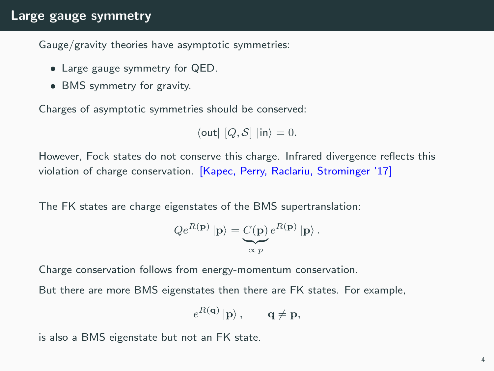## Large gauge symmetry

Gauge/gravity theories have asymptotic symmetries:

- Large gauge symmetry for QED.
- BMS symmetry for gravity.

Charges of asymptotic symmetries should be conserved:

$$
\langle \text{out} | [Q, S] | \text{in} \rangle = 0.
$$

However, Fock states do not conserve this charge. Infrared divergence reflects this violation of charge conservation. [Kapec, Perry, Raclariu, Strominger '17]

The FK states are charge eigenstates of the BMS supertranslation:

$$
Qe^{R(\mathbf{p})}|\mathbf{p}\rangle = \underbrace{C(\mathbf{p})}_{\propto p} e^{R(\mathbf{p})} |\mathbf{p}\rangle.
$$

Charge conservation follows from energy-momentum conservation.

But there are more BMS eigenstates then there are FK states. For example,

$$
e^{R(\mathbf{q})}|\mathbf{p}\rangle\,,\qquad \mathbf{q}\neq\mathbf{p},
$$

is also a BMS eigenstate but not an FK state.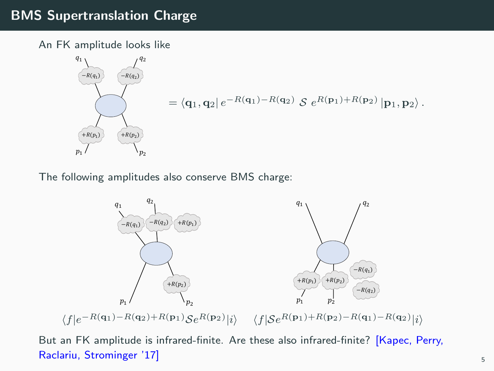## BMS Supertranslation Charge

An FK amplitude looks like

$$
\begin{pmatrix}\nq_1 \\
\hline\n-R(q_1) & & -R(q_2) \\
\hline\n& & & \\
\hline\n& & & \\
\hline\n& & & \\
\hline\n& & & \\
\hline\n& & & \\
\hline\n& & & \\
\hline\n& & & \\
\hline\n& & & \\
\hline\n& & & \\
\hline\n& & & \\
\hline\n& & & \\
\hline\n& & & \\
\hline\n& & & \\
\hline\n& & & \\
\hline\n& & & \\
\hline\n& & & \\
\hline\n& & & \\
\hline\n& & & \\
\hline\n& & & \\
\hline\n& & & \\
\hline\n& & & \\
\hline\n& & & \\
\hline\n& & & \\
\hline\n& & & \\
\hline\n& & & \\
\hline\n& & & \\
\hline\n& & & \\
\hline\n& & & \\
\hline\n& & & \\
\hline\n& & & \\
\hline\n& & & \\
\hline\n& & & \\
\hline\n& & & \\
\hline\n& & & \\
\hline\n& & & \\
\hline\n& & & \\
\hline\n& & & \\
\hline\n& & & \\
\hline\n& & & \\
\hline\n& & & \\
\hline\n& & & \\
\hline\n& & & \\
\hline\n& & & \\
\hline\n& & & \\
\hline\n& & & \\
\hline\n& & & \\
\hline\n& & & \\
\hline\n& & & \\
\hline\n& & & \\
\hline\n& & & \\
\hline\n& & & \\
\hline\n& & & \\
\hline\n& & & \\
\hline\n& & & \\
\hline\n& & & \\
\hline\n& & &
$$

The following amplitudes also conserve BMS charge:



But an FK amplitude is infrared-finite. Are these also infrared-finite? [Kapec, Perry, Raclariu, Strominger '17] Sacharius Strominger '17] Sacharius Strominger '17 Sacharius Strominger '17 Sacharius S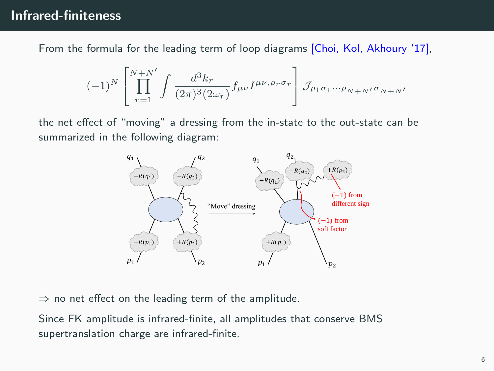From the formula for the leading term of loop diagrams [Choi, Kol, Akhoury '17],

$$
(-1)^N\left[\prod_{r=1}^{N+N'}\int\frac{d^3k_r}{(2\pi)^3(2\omega_r)}f_{\mu\nu}I^{\mu\nu,\rho_r\sigma_r}\right]\mathcal{J}_{\rho_1\sigma_1\cdots\rho_{N+N'}\sigma_{N+N'}}
$$

the net effect of "moving" a dressing from the in-state to the out-state can be summarized in the following diagram:



 $\Rightarrow$  no net effect on the leading term of the amplitude.

Since FK amplitude is infrared-finite, all amplitudes that conserve BMS supertranslation charge are infrared-finite.